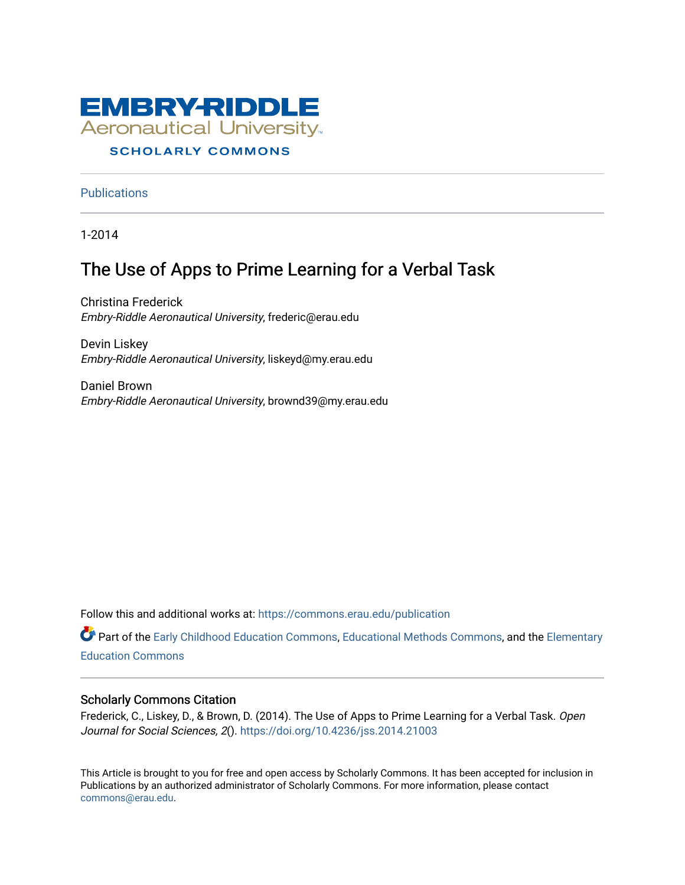

### **SCHOLARLY COMMONS**

**Publications** 

1-2014

## The Use of Apps to Prime Learning for a Verbal Task

Christina Frederick Embry-Riddle Aeronautical University, frederic@erau.edu

Devin Liskey Embry-Riddle Aeronautical University, liskeyd@my.erau.edu

Daniel Brown Embry-Riddle Aeronautical University, brownd39@my.erau.edu

Follow this and additional works at: [https://commons.erau.edu/publication](https://commons.erau.edu/publication?utm_source=commons.erau.edu%2Fpublication%2F1631&utm_medium=PDF&utm_campaign=PDFCoverPages) 

Part of the [Early Childhood Education Commons,](http://network.bepress.com/hgg/discipline/1377?utm_source=commons.erau.edu%2Fpublication%2F1631&utm_medium=PDF&utm_campaign=PDFCoverPages) [Educational Methods Commons,](http://network.bepress.com/hgg/discipline/1227?utm_source=commons.erau.edu%2Fpublication%2F1631&utm_medium=PDF&utm_campaign=PDFCoverPages) and the [Elementary](http://network.bepress.com/hgg/discipline/1378?utm_source=commons.erau.edu%2Fpublication%2F1631&utm_medium=PDF&utm_campaign=PDFCoverPages)  [Education Commons](http://network.bepress.com/hgg/discipline/1378?utm_source=commons.erau.edu%2Fpublication%2F1631&utm_medium=PDF&utm_campaign=PDFCoverPages) 

#### Scholarly Commons Citation

Frederick, C., Liskey, D., & Brown, D. (2014). The Use of Apps to Prime Learning for a Verbal Task. Open Journal for Social Sciences, 2(). <https://doi.org/10.4236/jss.2014.21003>

This Article is brought to you for free and open access by Scholarly Commons. It has been accepted for inclusion in Publications by an authorized administrator of Scholarly Commons. For more information, please contact [commons@erau.edu](mailto:commons@erau.edu).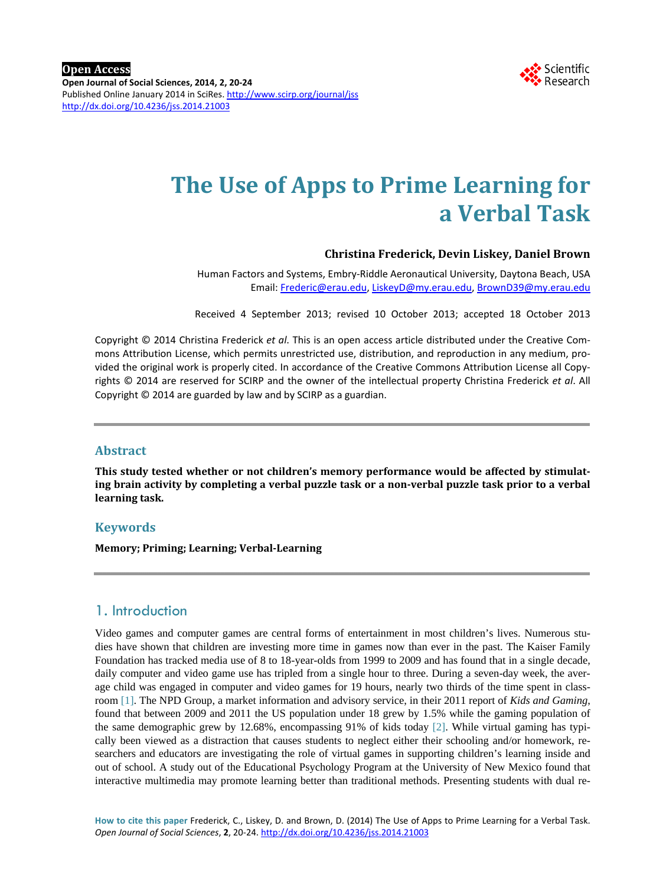

# **The Use of Apps to Prime Learning for a Verbal Task**

#### **Christina Frederick, Devin Liskey, Daniel Brown**

Human Factors and Systems, Embry-Riddle Aeronautical University, Daytona Beach, USA Email: [Frederic@erau.edu,](mailto:Frederic@erau.edu) [LiskeyD@my.erau.edu,](mailto:LiskeyD@my.erau.edu) [BrownD39@my.erau.edu](mailto:BrownD39@my.erau.edu)

Received 4 September 2013; revised 10 October 2013; accepted 18 October 2013

Copyright © 2014 Christina Frederick *et al*. This is an open access article distributed under the Creative Commons Attribution License, which permits unrestricted use, distribution, and reproduction in any medium, provided the original work is properly cited. In accordance of the Creative Commons Attribution License all Copyrights © 2014 are reserved for SCIRP and the owner of the intellectual property Christina Frederick *et al*. All Copyright © 2014 are guarded by law and by SCIRP as a guardian.

#### **Abstract**

**This study tested whether or not children's memory performance would be affected by stimulating brain activity by completing a verbal puzzle task or a non-verbal puzzle task prior to a verbal learning task.** 

#### **Keywords**

**Memory; Priming; Learning; Verbal-Learning**

## 1. Introduction

Video games and computer games are central forms of entertainment in most children's lives. Numerous studies have shown that children are investing more time in games now than ever in the past. The Kaiser Family Foundation has tracked media use of 8 to 18-year-olds from 1999 to 2009 and has found that in a single decade, daily computer and video game use has tripled from a single hour to three. During a seven-day week, the average child was engaged in computer and video games for 19 hours, nearly two thirds of the time spent in classroom [\[1\].](#page-4-0) The NPD Group, a market information and advisory service, in their 2011 report of *Kids and Gaming*, found that between 2009 and 2011 the US population under 18 grew by 1.5% while the gaming population of the same demographic grew by 12.68%, encompassing 91% of kids today [\[2\].](#page-4-1) While virtual gaming has typically been viewed as a distraction that causes students to neglect either their schooling and/or homework, researchers and educators are investigating the role of virtual games in supporting children's learning inside and out of school. A study out of the Educational Psychology Program at the University of New Mexico found that interactive multimedia may promote learning better than traditional methods. Presenting students with dual re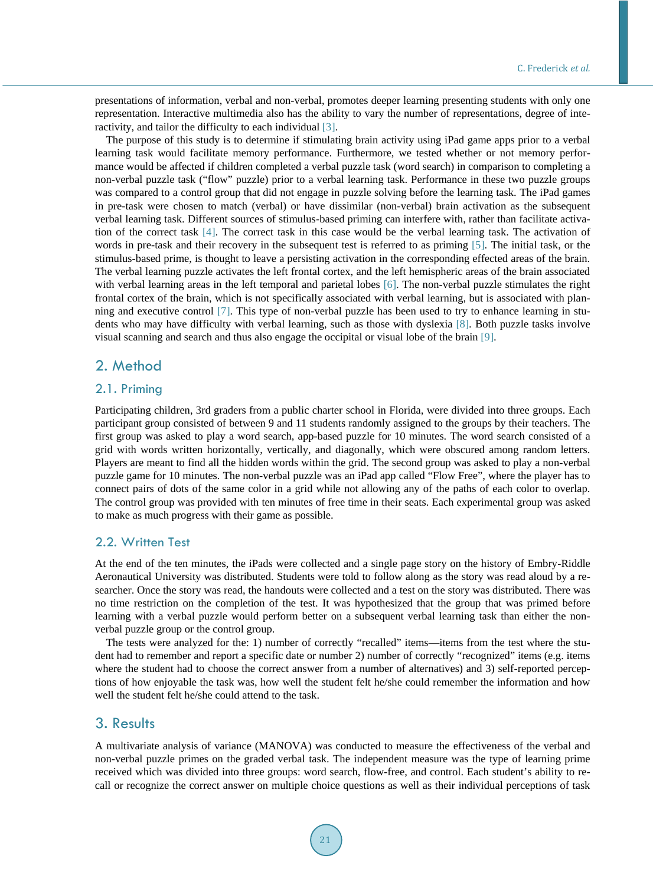presentations of information, verbal and non-verbal, promotes deeper learning presenting students with only one representation. Interactive multimedia also has the ability to vary the number of representations, degree of interactivity, and tailor the difficulty to each individual [\[3\].](#page-4-2)

The purpose of this study is to determine if stimulating brain activity using iPad game apps prior to a verbal learning task would facilitate memory performance. Furthermore, we tested whether or not memory performance would be affected if children completed a verbal puzzle task (word search) in comparison to completing a non-verbal puzzle task ("flow" puzzle) prior to a verbal learning task. Performance in these two puzzle groups was compared to a control group that did not engage in puzzle solving before the learning task. The iPad games in pre-task were chosen to match (verbal) or have dissimilar (non-verbal) brain activation as the subsequent verbal learning task. Different sources of stimulus-based priming can interfere with, rather than facilitate activation of the correct task [\[4\].](#page-4-3) The correct task in this case would be the verbal learning task. The activation of words in pre-task and their recovery in the subsequent test is referred to as priming [\[5\].](#page-4-4) The initial task, or the stimulus-based prime, is thought to leave a persisting activation in the corresponding effected areas of the brain. The verbal learning puzzle activates the left frontal cortex, and the left hemispheric areas of the brain associated with verbal learning areas in the left temporal and parietal lobes [\[6\].](#page-4-5) The non-verbal puzzle stimulates the right frontal cortex of the brain, which is not specifically associated with verbal learning, but is associated with planning and executive control [\[7\].](#page-4-6) This type of non-verbal puzzle has been used to try to enhance learning in students who may have difficulty with verbal learning, such as those with dyslexia [\[8\].](#page-4-7) Both puzzle tasks involve visual scanning and search and thus also engage the occipital or visual lobe of the brain [\[9\].](#page-4-8)

## 2. Method

#### 2.1. Priming

Participating children, 3rd graders from a public charter school in Florida, were divided into three groups. Each participant group consisted of between 9 and 11 students randomly assigned to the groups by their teachers. The first group was asked to play a word search, app-based puzzle for 10 minutes. The word search consisted of a grid with words written horizontally, vertically, and diagonally, which were obscured among random letters. Players are meant to find all the hidden words within the grid. The second group was asked to play a non-verbal puzzle game for 10 minutes. The non-verbal puzzle was an iPad app called "Flow Free", where the player has to connect pairs of dots of the same color in a grid while not allowing any of the paths of each color to overlap. The control group was provided with ten minutes of free time in their seats. Each experimental group was asked to make as much progress with their game as possible.

#### 2.2. Written Test

At the end of the ten minutes, the iPads were collected and a single page story on the history of Embry-Riddle Aeronautical University was distributed. Students were told to follow along as the story was read aloud by a researcher. Once the story was read, the handouts were collected and a test on the story was distributed. There was no time restriction on the completion of the test. It was hypothesized that the group that was primed before learning with a verbal puzzle would perform better on a subsequent verbal learning task than either the nonverbal puzzle group or the control group.

The tests were analyzed for the: 1) number of correctly "recalled" items—items from the test where the student had to remember and report a specific date or number 2) number of correctly "recognized" items (e.g. items where the student had to choose the correct answer from a number of alternatives) and 3) self-reported perceptions of how enjoyable the task was, how well the student felt he/she could remember the information and how well the student felt he/she could attend to the task.

#### 3. Results

A multivariate analysis of variance (MANOVA) was conducted to measure the effectiveness of the verbal and non-verbal puzzle primes on the graded verbal task. The independent measure was the type of learning prime received which was divided into three groups: word search, flow-free, and control. Each student's ability to recall or recognize the correct answer on multiple choice questions as well as their individual perceptions of task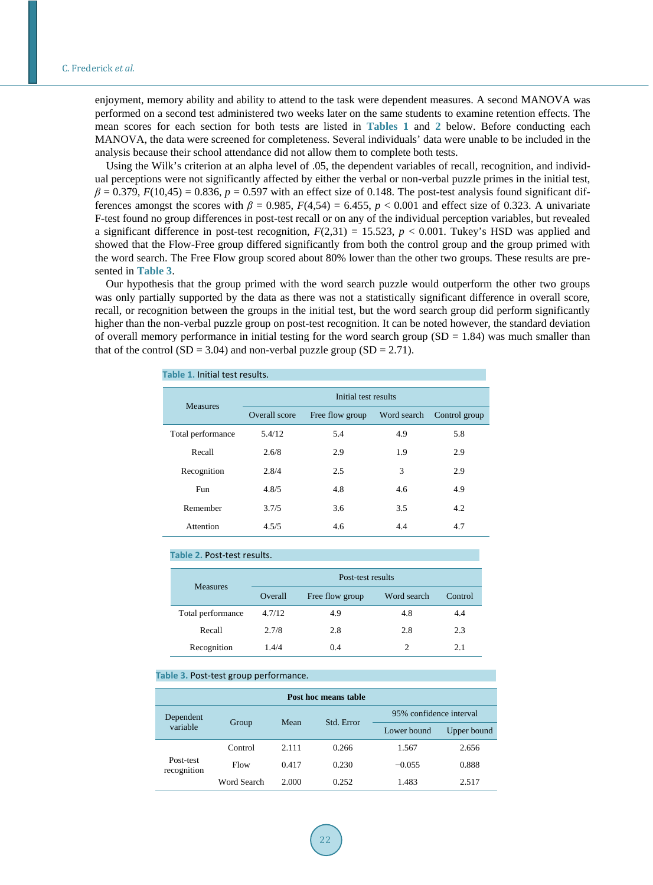enjoyment, memory ability and ability to attend to the task were dependent measures. A second MANOVA was performed on a second test administered two weeks later on the same students to examine retention effects. The mean scores for each section for both tests are listed in **[Tables 1](#page-3-0)** and **[2](#page-3-1)** below. Before conducting each MANOVA, the data were screened for completeness. Several individuals' data were unable to be included in the analysis because their school attendance did not allow them to complete both tests.

Using the Wilk's criterion at an alpha level of .05, the dependent variables of recall, recognition, and individual perceptions were not significantly affected by either the verbal or non-verbal puzzle primes in the initial test,  $\beta = 0.379$ ,  $F(10.45) = 0.836$ ,  $p = 0.597$  with an effect size of 0.148. The post-test analysis found significant differences amongst the scores with  $\beta = 0.985$ ,  $F(4,54) = 6.455$ ,  $p < 0.001$  and effect size of 0.323. A univariate F-test found no group differences in post-test recall or on any of the individual perception variables, but revealed a significant difference in post-test recognition,  $F(2,31) = 15.523$ ,  $p < 0.001$ . Tukey's HSD was applied and showed that the Flow-Free group differed significantly from both the control group and the group primed with the word search. The Free Flow group scored about 80% lower than the other two groups. These results are presented in **[Table 3](#page-3-2)**.

<span id="page-3-0"></span>Our hypothesis that the group primed with the word search puzzle would outperform the other two groups was only partially supported by the data as there was not a statistically significant difference in overall score, recall, or recognition between the groups in the initial test, but the word search group did perform significantly higher than the non-verbal puzzle group on post-test recognition. It can be noted however, the standard deviation of overall memory performance in initial testing for the word search group ( $SD = 1.84$ ) was much smaller than that of the control (SD = 3.04) and non-verbal puzzle group (SD = 2.71).

| <b>Measures</b>   | Initial test results |                 |             |               |  |
|-------------------|----------------------|-----------------|-------------|---------------|--|
|                   | Overall score        | Free flow group | Word search | Control group |  |
| Total performance | 5.4/12               | 5.4             | 4.9         | 5.8           |  |
| Recall            | 2.6/8                | 2.9             | 1.9         | 2.9           |  |
| Recognition       | 2.8/4                | 2.5             | 3           | 2.9           |  |
| Fun               | 4.8/5                | 4.8             | 4.6         | 4.9           |  |
| Remember          | 3.7/5                | 3.6             | 3.5         | 4.2           |  |
| Attention         | 4.5/5                | 4.6             | 4.4         | 4.7           |  |

#### **Table 2.** Post-test results.

<span id="page-3-1"></span>

| <b>Measures</b>   | Post-test results |                 |                |         |  |
|-------------------|-------------------|-----------------|----------------|---------|--|
|                   | Overall           | Free flow group | Word search    | Control |  |
| Total performance | 4.7/12            | 4.9             | 4.8            | 4.4     |  |
| Recall            | 2.7/8             | 2.8             | 2.8            | 2.3     |  |
| Recognition       | 1.4/4             | 0.4             | $\mathfrak{D}$ | 2.1     |  |

#### <span id="page-3-2"></span>**Table 3.** Post-test group performance.

| Post hoc means table     |             |       |            |                         |             |  |  |  |
|--------------------------|-------------|-------|------------|-------------------------|-------------|--|--|--|
| Dependent<br>variable    | Group       | Mean  | Std. Error | 95% confidence interval |             |  |  |  |
|                          |             |       |            | Lower bound             | Upper bound |  |  |  |
| Post-test<br>recognition | Control     | 2.111 | 0.266      | 1.567                   | 2.656       |  |  |  |
|                          | Flow        | 0.417 | 0.230      | $-0.055$                | 0.888       |  |  |  |
|                          | Word Search | 2.000 | 0.252      | 1.483                   | 2.517       |  |  |  |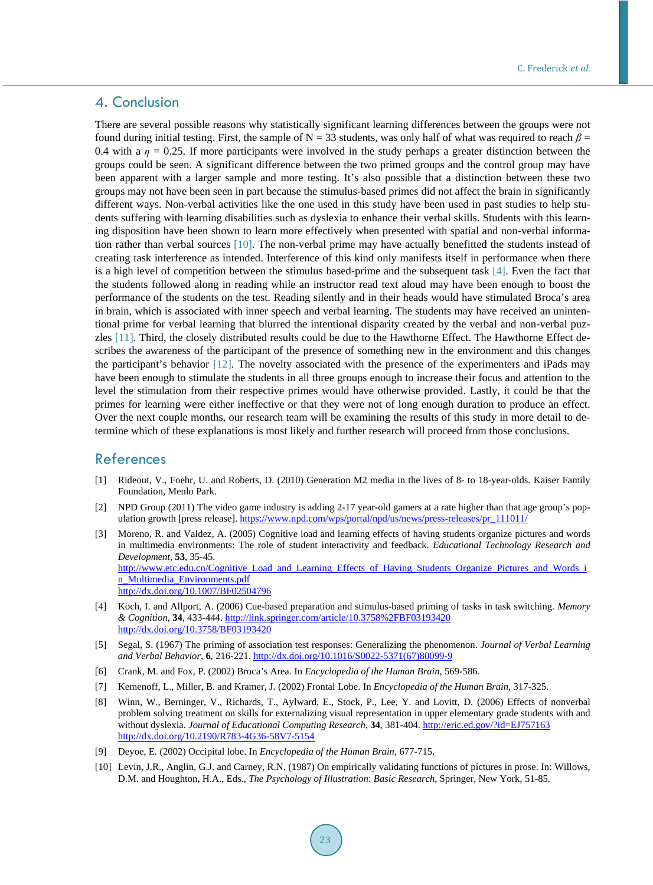## 4. Conclusion

There are several possible reasons why statistically significant learning differences between the groups were not found during initial testing. First, the sample of N = 33 students, was only half of what was required to reach  $\beta$  = 0.4 with a  $\eta$  = 0.25. If more participants were involved in the study perhaps a greater distinction between the groups could be seen. A significant difference between the two primed groups and the control group may have been apparent with a larger sample and more testing. It's also possible that a distinction between these two groups may not have been seen in part because the stimulus-based primes did not affect the brain in significantly different ways. Non-verbal activities like the one used in this study have been used in past studies to help students suffering with learning disabilities such as dyslexia to enhance their verbal skills. Students with this learning disposition have been shown to learn more effectively when presented with spatial and non-verbal information rather than verbal sources [\[10\].](#page-4-9) The non-verbal prime may have actually benefitted the students instead of creating task interference as intended. Interference of this kind only manifests itself in performance when there is a high level of competition between the stimulus based-prime and the subsequent task [\[4\].](#page-4-3) Even the fact that the students followed along in reading while an instructor read text aloud may have been enough to boost the performance of the students on the test. Reading silently and in their heads would have stimulated Broca's area in brain, which is associated with inner speech and verbal learning. The students may have received an unintentional prime for verbal learning that blurred the intentional disparity created by the verbal and non-verbal puzzles [\[11\].](#page-5-0) Third, the closely distributed results could be due to the Hawthorne Effect. The Hawthorne Effect describes the awareness of the participant of the presence of something new in the environment and this changes the participant's behavior [\[12\].](#page-5-1) The novelty associated with the presence of the experimenters and iPads may have been enough to stimulate the students in all three groups enough to increase their focus and attention to the level the stimulation from their respective primes would have otherwise provided. Lastly, it could be that the primes for learning were either ineffective or that they were not of long enough duration to produce an effect. Over the next couple months, our research team will be examining the results of this study in more detail to determine which of these explanations is most likely and further research will proceed from those conclusions.

### References

- <span id="page-4-0"></span>[1] Rideout, V., Foehr, U. and Roberts, D. (2010) Generation M2 media in the lives of 8- to 18-year-olds. Kaiser Family Foundation, Menlo Park.
- <span id="page-4-1"></span>[2] NPD Group (2011) The video game industry is adding 2-17 year-old gamers at a rate higher than that age group's population growth [press release]. [https://www.npd.com/wps/portal/npd/us/news/press-releases/pr\\_111011/](https://www.npd.com/wps/portal/npd/us/news/press-releases/pr_111011/)
- <span id="page-4-2"></span>[3] Moreno, R. and Valdez, A. (2005) Cognitive load and learning effects of having students organize pictures and words in multimedia environments: The role of student interactivity and feedback. *Educational Technology Research and Development*, **53**, 35-45. [http://www.etc.edu.cn/Cognitive\\_Load\\_and\\_Learning\\_Effects\\_of\\_Having\\_Students\\_Organize\\_Pictures\\_and\\_Words\\_i](http://www.etc.edu.cn/Cognitive_Load_and_Learning_Effects_of_Having_Students_Organize_Pictures_and_Words_in_Multimedia_Environments.pdf) [n\\_Multimedia\\_Environments.pdf](http://www.etc.edu.cn/Cognitive_Load_and_Learning_Effects_of_Having_Students_Organize_Pictures_and_Words_in_Multimedia_Environments.pdf) <http://dx.doi.org/10.1007/BF02504796>
- <span id="page-4-3"></span>[4] Koch, I. and Allport, A. (2006) Cue-based preparation and stimulus-based priming of tasks in task switching. *Memory & Cognition*, **34**, 433-444. <http://link.springer.com/article/10.3758%2FBF03193420> <http://dx.doi.org/10.3758/BF03193420>
- <span id="page-4-4"></span>[5] Segal, S. (1967) The priming of association test responses: Generalizing the phenomenon. *Journal of Verbal Learning and Verbal Behavior*, **6**, 216-221. [http://dx.doi.org/10.1016/S0022-5371\(67\)80099-9](http://dx.doi.org/10.1016/S0022-5371(67)80099-9)
- <span id="page-4-5"></span>[6] Crank, M. and Fox, P. (2002) Broca's Area. In *Encyclopedia of the Human Brain*, 569-586.
- <span id="page-4-6"></span>[7] Kemenoff, L., Miller, B. and Kramer, J. (2002) Frontal Lobe. In *Encyclopedia of the Human Brain*, 317-325.
- <span id="page-4-7"></span>[8] Winn, W., Berninger, V., Richards, T., Aylward, E., Stock, P., Lee, Y. and Lovitt, D. (2006) Effects of nonverbal problem solving treatment on skills for externalizing visual representation in upper elementary grade students with and without dyslexia. *Journal of Educational Computing Research*, **34**, 381-404. <http://eric.ed.gov/?id=EJ757163> <http://dx.doi.org/10.2190/R783-4G36-58V7-5154>
- <span id="page-4-8"></span>[9] Deyoe, E. (2002) Occipital lobe. In *Encyclopedia of the Human Brain*, 677-715.
- <span id="page-4-9"></span>[10] Levin, J.R., Anglin, G.J. and Carney, R.N. (1987) On empirically validating functions of pictures in prose. In: Willows, D.M. and Houghton, H.A., Eds., *The Psychology of Illustration*: *Basic Research*, Springer, New York, 51-85.